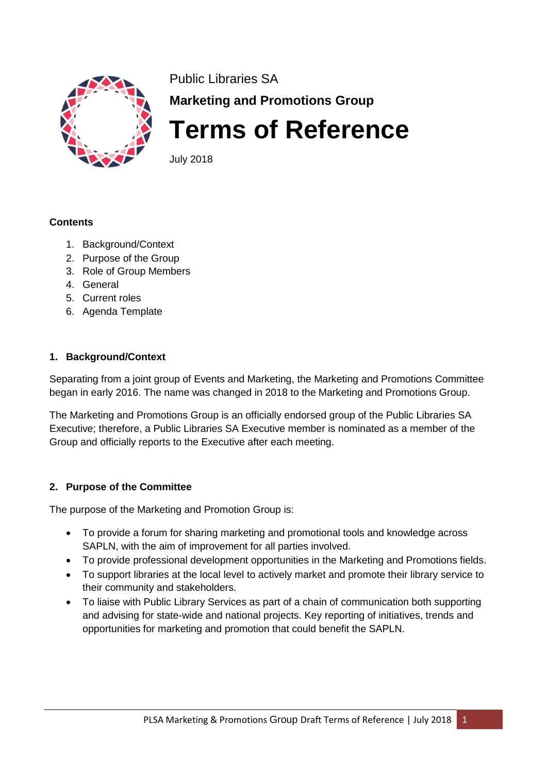

Public Libraries SA **Marketing and Promotions Group**

**Terms of Reference**

July 2018

#### **Contents**

- 1. Background/Context
- 2. Purpose of the Group
- 3. Role of Group Members
- 4. General
- 5. Current roles
- 6. Agenda Template

#### **1. Background/Context**

Separating from a joint group of Events and Marketing, the Marketing and Promotions Committee began in early 2016. The name was changed in 2018 to the Marketing and Promotions Group.

The Marketing and Promotions Group is an officially endorsed group of the Public Libraries SA Executive; therefore, a Public Libraries SA Executive member is nominated as a member of the Group and officially reports to the Executive after each meeting.

### **2. Purpose of the Committee**

The purpose of the Marketing and Promotion Group is:

- To provide a forum for sharing marketing and promotional tools and knowledge across SAPLN, with the aim of improvement for all parties involved.
- To provide professional development opportunities in the Marketing and Promotions fields.
- To support libraries at the local level to actively market and promote their library service to their community and stakeholders.
- To liaise with Public Library Services as part of a chain of communication both supporting and advising for state-wide and national projects. Key reporting of initiatives, trends and opportunities for marketing and promotion that could benefit the SAPLN.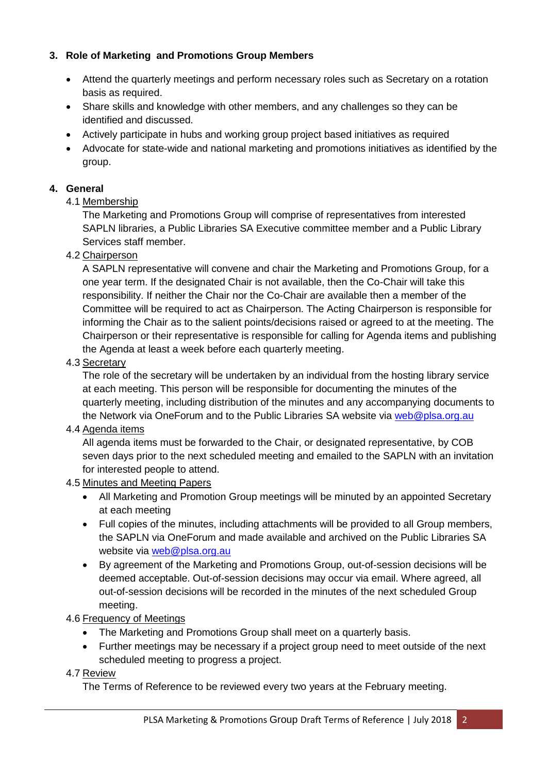## **3. Role of Marketing and Promotions Group Members**

- Attend the quarterly meetings and perform necessary roles such as Secretary on a rotation basis as required.
- Share skills and knowledge with other members, and any challenges so they can be identified and discussed.
- Actively participate in hubs and working group project based initiatives as required
- Advocate for state-wide and national marketing and promotions initiatives as identified by the group.

### **4. General**

#### 4.1 Membership

The Marketing and Promotions Group will comprise of representatives from interested SAPLN libraries, a Public Libraries SA Executive committee member and a Public Library Services staff member.

#### 4.2 Chairperson

A SAPLN representative will convene and chair the Marketing and Promotions Group, for a one year term. If the designated Chair is not available, then the Co-Chair will take this responsibility. If neither the Chair nor the Co-Chair are available then a member of the Committee will be required to act as Chairperson. The Acting Chairperson is responsible for informing the Chair as to the salient points/decisions raised or agreed to at the meeting. The Chairperson or their representative is responsible for calling for Agenda items and publishing the Agenda at least a week before each quarterly meeting.

#### 4.3 Secretary

The role of the secretary will be undertaken by an individual from the hosting library service at each meeting. This person will be responsible for documenting the minutes of the quarterly meeting, including distribution of the minutes and any accompanying documents to the Network via OneForum and to the Public Libraries SA website via [web@plsa.org.au](mailto:web@plsa.org.au)

#### 4.4 Agenda items

All agenda items must be forwarded to the Chair, or designated representative, by COB seven days prior to the next scheduled meeting and emailed to the SAPLN with an invitation for interested people to attend.

#### 4.5 Minutes and Meeting Papers

- All Marketing and Promotion Group meetings will be minuted by an appointed Secretary at each meeting
- Full copies of the minutes, including attachments will be provided to all Group members, the SAPLN via OneForum and made available and archived on the Public Libraries SA website via [web@plsa.org.au](mailto:web@plsa.org.au)
- By agreement of the Marketing and Promotions Group, out-of-session decisions will be deemed acceptable. Out-of-session decisions may occur via email. Where agreed, all out-of-session decisions will be recorded in the minutes of the next scheduled Group meeting.

#### 4.6 Frequency of Meetings

- The Marketing and Promotions Group shall meet on a quarterly basis.
- Further meetings may be necessary if a project group need to meet outside of the next scheduled meeting to progress a project.

#### 4.7 Review

The Terms of Reference to be reviewed every two years at the February meeting.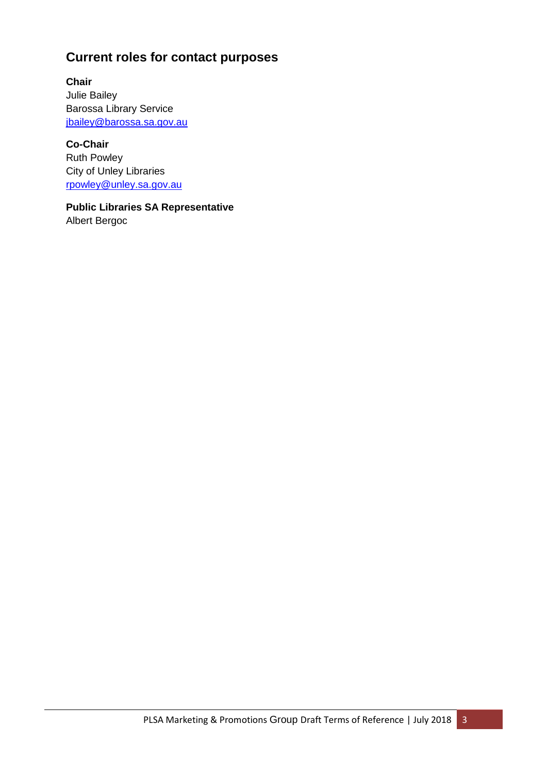# **Current roles for contact purposes**

**Chair** Julie Bailey Barossa Library Service [jbailey@barossa.sa.gov.au](mailto:jbailey@barossa.sa.gov.au)

**Co-Chair** Ruth Powley City of Unley Libraries [rpowley@unley.sa.gov.au](mailto:rpowley@unley.sa.gov.au)

**Public Libraries SA Representative** Albert Bergoc